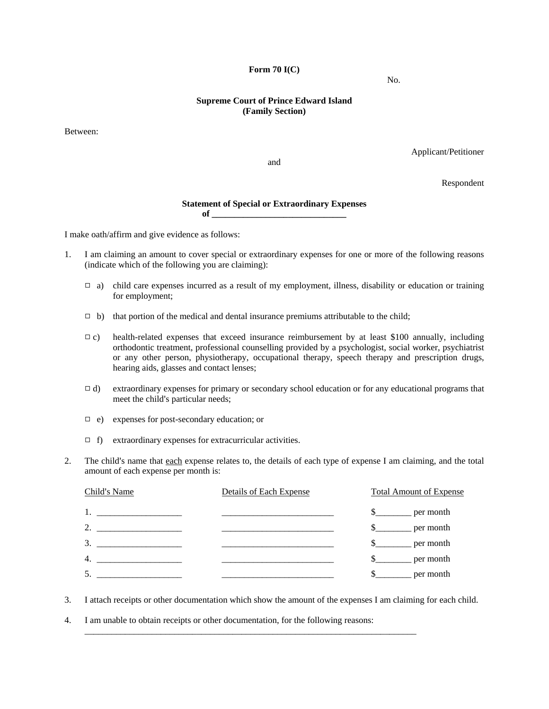**Form 70 I(C)** 

## **Supreme Court of Prince Edward Island (Family Section)**

Between:

Applicant/Petitioner

and

Respondent

## **Statement of Special or Extraordinary Expenses**   $of$   $\qquad \qquad$

I make oath/affirm and give evidence as follows:

- 1. I am claiming an amount to cover special or extraordinary expenses for one or more of the following reasons (indicate which of the following you are claiming):
	- $\Box$  a) child care expenses incurred as a result of my employment, illness, disability or education or training for employment;
	- $\Box$  b) that portion of the medical and dental insurance premiums attributable to the child;
	- $\Box$  c) health-related expenses that exceed insurance reimbursement by at least \$100 annually, including orthodontic treatment, professional counselling provided by a psychologist, social worker, psychiatrist or any other person, physiotherapy, occupational therapy, speech therapy and prescription drugs, hearing aids, glasses and contact lenses;
	- $\Box$  d) extraordinary expenses for primary or secondary school education or for any educational programs that meet the child's particular needs;
	- $\Box$  e) expenses for post-secondary education; or
	- $\Box$  f) extraordinary expenses for extracurricular activities.
- 2. The child's name that each expense relates to, the details of each type of expense I am claiming, and the total amount of each expense per month is:

| Child's Name     | Details of Each Expense | <b>Total Amount of Expense</b> |
|------------------|-------------------------|--------------------------------|
|                  |                         | $\mathbb{S}$<br>per month      |
| 2.               |                         | per month                      |
| 3.               |                         | per month                      |
| $\overline{4}$ . |                         | per month                      |
| 5.               |                         | per month                      |

3. I attach receipts or other documentation which show the amount of the expenses I am claiming for each child.

\_\_\_\_\_\_\_\_\_\_\_\_\_\_\_\_\_\_\_\_\_\_\_\_\_\_\_\_\_\_\_\_\_\_\_\_\_\_\_\_\_\_\_\_\_\_\_\_\_\_\_\_\_\_\_\_\_\_\_\_\_\_\_\_\_\_\_\_\_\_\_\_\_\_

4. I am unable to obtain receipts or other documentation, for the following reasons:

No.